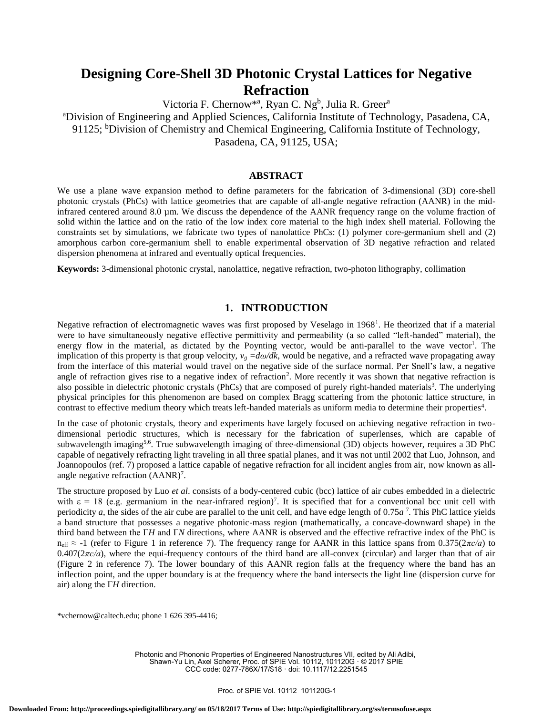# **Designing Core-Shell 3D Photonic Crystal Lattices for Negative Refraction**

Victoria F. Chernow<sup>\*a</sup>, Ryan C. Ng<sup>b</sup>, Julia R. Greer<sup>a</sup> <sup>a</sup>Division of Engineering and Applied Sciences, California Institute of Technology, Pasadena, CA, 91125; <sup>b</sup>Division of Chemistry and Chemical Engineering, California Institute of Technology, Pasadena, CA, 91125, USA;

#### **ABSTRACT**

We use a plane wave expansion method to define parameters for the fabrication of 3-dimensional (3D) core-shell photonic crystals (PhCs) with lattice geometries that are capable of all-angle negative refraction (AANR) in the midinfrared centered around 8.0 µm. We discuss the dependence of the AANR frequency range on the volume fraction of solid within the lattice and on the ratio of the low index core material to the high index shell material. Following the constraints set by simulations, we fabricate two types of nanolattice PhCs: (1) polymer core-germanium shell and (2) amorphous carbon core-germanium shell to enable experimental observation of 3D negative refraction and related dispersion phenomena at infrared and eventually optical frequencies.

**Keywords:** 3-dimensional photonic crystal, nanolattice, negative refraction, two-photon lithography, collimation

## **1. INTRODUCTION**

Negative refraction of electromagnetic waves was first proposed by Veselago in 1968<sup>1</sup>. He theorized that if a material were to have simultaneously negative effective permittivity and permeability (a so called "left-handed" material), the energy flow in the material, as dictated by the Poynting vector, would be anti-parallel to the wave vector<sup>1</sup>. The implication of this property is that group velocity,  $v_g = \frac{d\omega}{dk}$ , would be negative, and a refracted wave propagating away from the interface of this material would travel on the negative side of the surface normal. Per Snell's law, a negative angle of refraction gives rise to a negative index of refraction<sup>2</sup>. More recently it was shown that negative refraction is also possible in dielectric photonic crystals (PhCs) that are composed of purely right-handed materials<sup>3</sup>. The underlying physical principles for this phenomenon are based on complex Bragg scattering from the photonic lattice structure, in contrast to effective medium theory which treats left-handed materials as uniform media to determine their properties<sup>4</sup>.

In the case of photonic crystals, theory and experiments have largely focused on achieving negative refraction in twodimensional periodic structures, which is necessary for the fabrication of superlenses, which are capable of subwavelength imaging<sup>5,6</sup>. True subwavelength imaging of three-dimensional (3D) objects however, requires a 3D PhC capable of negatively refracting light traveling in all three spatial planes, and it was not until 2002 that Luo, Johnson, and Joannopoulos (ref. 7) proposed a lattice capable of negative refraction for all incident angles from air, now known as allangle negative refraction (AANR)<sup>7</sup>.

The structure proposed by Luo *et al*. consists of a body-centered cubic (bcc) lattice of air cubes embedded in a dielectric with  $\varepsilon = 18$  (e.g. germanium in the near-infrared region)<sup>7</sup>. It is specified that for a conventional bcc unit cell with periodicity *a*, the sides of the air cube are parallel to the unit cell, and have edge length of 0.75*a* 7 *.* This PhC lattice yields a band structure that possesses a negative photonic-mass region (mathematically, a concave-downward shape) in the third band between the Γ*H* and Γ*N* directions, where AANR is observed and the effective refractive index of the PhC is neff ≈ -1 (refer to Figure 1 in reference 7). The frequency range for AANR in this lattice spans from 0.375(2*πc/a*) to  $0.407(2\pi c/a)$ , where the equi-frequency contours of the third band are all-convex (circular) and larger than that of air (Figure 2 in reference 7). The lower boundary of this AANR region falls at the frequency where the band has an inflection point, and the upper boundary is at the frequency where the band intersects the light line (dispersion curve for air) along the Γ*H* direction.

\*vchernow@caltech.edu; phone 1 626 395-4416;

Photonic and Phononic Properties of Engineered Nanostructures VII, edited by Ali Adibi, Shawn-Yu Lin, Axel Scherer, Proc. of SPIE Vol. 10112, 101120G · © 2017 SPIE CCC code: 0277-786X/17/\$18 · doi: 10.1117/12.2251545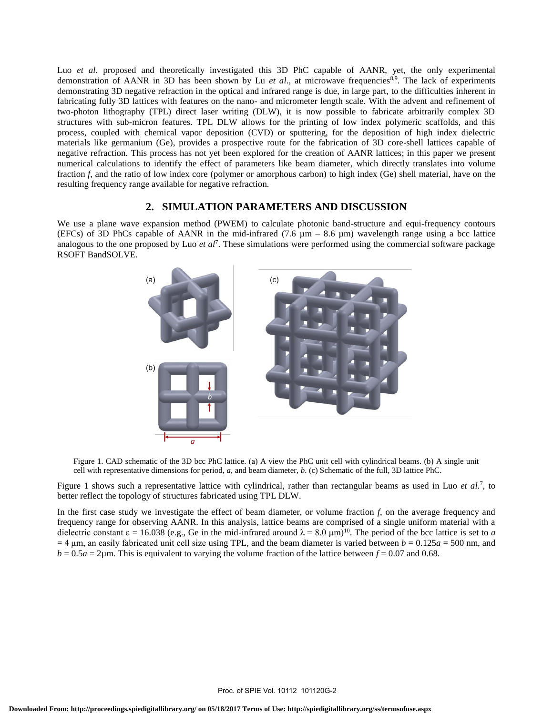Luo *et al.* proposed and theoretically investigated this 3D PhC capable of AANR, yet, the only experimental demonstration of AANR in 3D has been shown by Lu *et al.*, at microwave frequencies<sup>8,9</sup>. The lack of experiments demonstrating 3D negative refraction in the optical and infrared range is due, in large part, to the difficulties inherent in fabricating fully 3D lattices with features on the nano- and micrometer length scale. With the advent and refinement of two-photon lithography (TPL) direct laser writing (DLW), it is now possible to fabricate arbitrarily complex 3D structures with sub-micron features. TPL DLW allows for the printing of low index polymeric scaffolds, and this process, coupled with chemical vapor deposition (CVD) or sputtering, for the deposition of high index dielectric materials like germanium (Ge), provides a prospective route for the fabrication of 3D core-shell lattices capable of negative refraction. This process has not yet been explored for the creation of AANR lattices; in this paper we present numerical calculations to identify the effect of parameters like beam diameter, which directly translates into volume fraction *f*, and the ratio of low index core (polymer or amorphous carbon) to high index (Ge) shell material, have on the resulting frequency range available for negative refraction.

## **2. SIMULATION PARAMETERS AND DISCUSSION**

We use a plane wave expansion method (PWEM) to calculate photonic band-structure and equi-frequency contours (EFCs) of 3D PhCs capable of AANR in the mid-infrared (7.6  $\mu$ m – 8.6  $\mu$ m) wavelength range using a bcc lattice analogous to the one proposed by Luo *et al*<sup>7</sup> . These simulations were performed using the commercial software package RSOFT BandSOLVE.



Figure 1. CAD schematic of the 3D bcc PhC lattice. (a) A view the PhC unit cell with cylindrical beams. (b) A single unit cell with representative dimensions for period, *a*, and beam diameter, *b*. (c) Schematic of the full, 3D lattice PhC.

Figure 1 shows such a representative lattice with cylindrical, rather than rectangular beams as used in Luo *et al.*<sup>7</sup>, to better reflect the topology of structures fabricated using TPL DLW.

In the first case study we investigate the effect of beam diameter, or volume fraction *f*, on the average frequency and frequency range for observing AANR. In this analysis, lattice beams are comprised of a single uniform material with a dielectric constant  $\varepsilon = 16.038$  (e.g., Ge in the mid-infrared around  $\lambda = 8.0 \text{ }\mu\text{m}$ )<sup>10</sup>. The period of the bcc lattice is set to *a*  $=$  4  $\mu$ m, an easily fabricated unit cell size using TPL, and the beam diameter is varied between *b* = 0.125*a* = 500 nm, and  $b = 0.5a = 2\mu$ m. This is equivalent to varying the volume fraction of the lattice between  $f = 0.07$  and 0.68.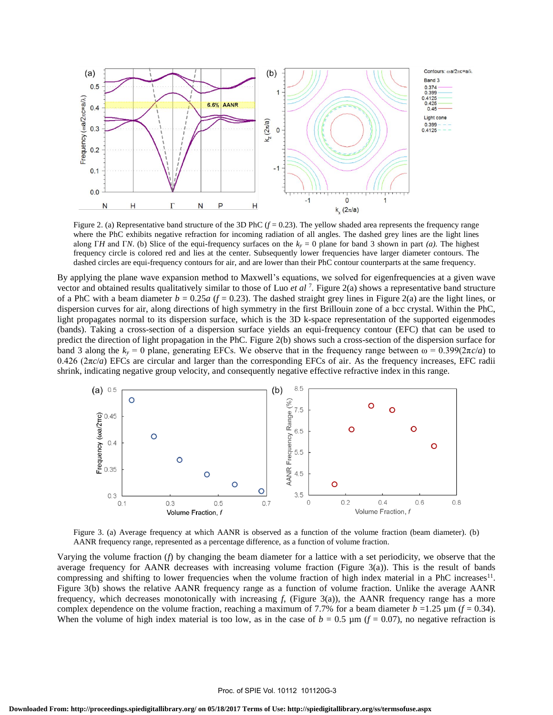

Figure 2. (a) Representative band structure of the 3D PhC  $(f = 0.23)$ . The yellow shaded area represents the frequency range where the PhC exhibits negative refraction for incoming radiation of all angles. The dashed grey lines are the light lines along Γ*H* and Γ*N*. (b) Slice of the equi-frequency surfaces on the *k<sup>y</sup>* = 0 plane for band 3 shown in part *(a).* The highest frequency circle is colored red and lies at the center. Subsequently lower frequencies have larger diameter contours. The dashed circles are equi-frequency contours for air, and are lower than their PhC contour counterparts at the same frequency.

By applying the plane wave expansion method to Maxwell's equations, we solved for eigenfrequencies at a given wave vector and obtained results qualitatively similar to those of Luo *et al* <sup>7</sup> *.* Figure 2(a) shows a representative band structure of a PhC with a beam diameter  $b = 0.25a$  ( $f = 0.23$ ). The dashed straight grey lines in Figure 2(a) are the light lines, or dispersion curves for air, along directions of high symmetry in the first Brillouin zone of a bcc crystal. Within the PhC, light propagates normal to its dispersion surface, which is the 3D k-space representation of the supported eigenmodes (bands). Taking a cross-section of a dispersion surface yields an equi-frequency contour (EFC) that can be used to predict the direction of light propagation in the PhC. Figure 2(b) shows such a cross-section of the dispersion surface for band 3 along the  $k_y = 0$  plane, generating EFCs. We observe that in the frequency range between  $\omega = 0.399(2\pi c/a)$  to 0.426 ( $2πc/a$ ) EFCs are circular and larger than the corresponding EFCs of air. As the frequency increases, EFC radii shrink, indicating negative group velocity, and consequently negative effective refractive index in this range.



Figure 3. (a) Average frequency at which AANR is observed as a function of the volume fraction (beam diameter). (b) AANR frequency range, represented as a percentage difference, as a function of volume fraction.

Varying the volume fraction (*f*) by changing the beam diameter for a lattice with a set periodicity, we observe that the average frequency for AANR decreases with increasing volume fraction (Figure 3(a)). This is the result of bands compressing and shifting to lower frequencies when the volume fraction of high index material in a PhC increases<sup>11</sup>. Figure 3(b) shows the relative AANR frequency range as a function of volume fraction. Unlike the average AANR frequency, which decreases monotonically with increasing *f*, (Figure 3(a)), the AANR frequency range has a more complex dependence on the volume fraction, reaching a maximum of 7.7% for a beam diameter  $b = 1.25 \mu m (f = 0.34)$ . When the volume of high index material is too low, as in the case of  $b = 0.5 \mu m$  ( $f = 0.07$ ), no negative refraction is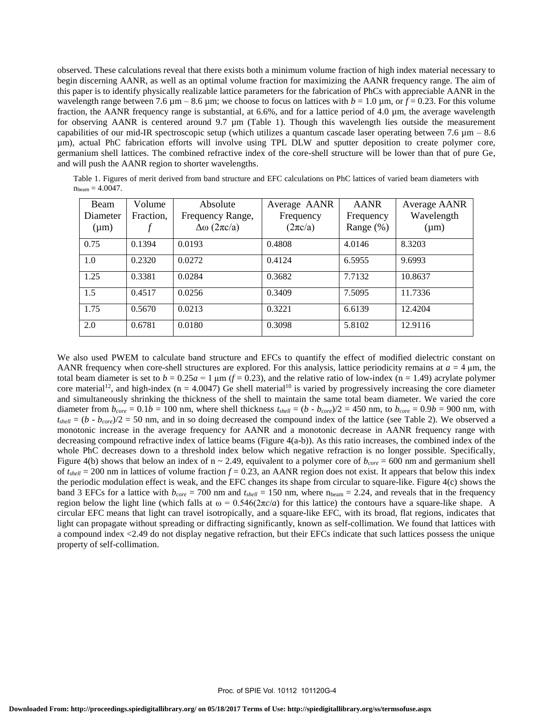observed. These calculations reveal that there exists both a minimum volume fraction of high index material necessary to begin discerning AANR, as well as an optimal volume fraction for maximizing the AANR frequency range. The aim of this paper is to identify physically realizable lattice parameters for the fabrication of PhCs with appreciable AANR in the wavelength range between 7.6  $\mu$ m – 8.6  $\mu$ m; we choose to focus on lattices with  $b = 1.0 \mu$ m, or  $f = 0.23$ . For this volume fraction, the AANR frequency range is substantial, at 6.6%, and for a lattice period of 4.0 µm, the average wavelength for observing AANR is centered around 9.7 µm (Table 1). Though this wavelength lies outside the measurement capabilities of our mid-IR spectroscopic setup (which utilizes a quantum cascade laser operating between 7.6  $\mu$ m – 8.6 µm), actual PhC fabrication efforts will involve using TPL DLW and sputter deposition to create polymer core, germanium shell lattices. The combined refractive index of the core-shell structure will be lower than that of pure Ge, and will push the AANR region to shorter wavelengths.

Table 1. Figures of merit derived from band structure and EFC calculations on PhC lattices of varied beam diameters with  $n_{beam} = 4.0047$ .

| Beam<br>Diameter<br>$(\mu m)$ | Volume<br>Fraction, | Absolute<br>Frequency Range,<br>$\Delta\omega$ (2 $\pi c/a$ ) | Average AANR<br>Frequency<br>$(2\pi c/a)$ | <b>AANR</b><br>Frequency<br>Range $(\%)$ | Average AANR<br>Wavelength<br>$(\mu m)$ |
|-------------------------------|---------------------|---------------------------------------------------------------|-------------------------------------------|------------------------------------------|-----------------------------------------|
| 0.75                          | 0.1394              | 0.0193                                                        | 0.4808                                    | 4.0146                                   | 8.3203                                  |
| 1.0                           | 0.2320              | 0.0272                                                        | 0.4124                                    | 6.5955                                   | 9.6993                                  |
| 1.25                          | 0.3381              | 0.0284                                                        | 0.3682                                    | 7.7132                                   | 10.8637                                 |
| 1.5                           | 0.4517              | 0.0256                                                        | 0.3409                                    | 7.5095                                   | 11.7336                                 |
| 1.75                          | 0.5670              | 0.0213                                                        | 0.3221                                    | 6.6139                                   | 12.4204                                 |
| 2.0                           | 0.6781              | 0.0180                                                        | 0.3098                                    | 5.8102                                   | 12.9116                                 |

We also used PWEM to calculate band structure and EFCs to quantify the effect of modified dielectric constant on AANR frequency when core-shell structures are explored. For this analysis, lattice periodicity remains at  $a = 4 \mu m$ , the total beam diameter is set to  $b = 0.25a = 1 \text{ µm}$  ( $f = 0.23$ ), and the relative ratio of low-index (n = 1.49) acrylate polymer core material<sup>12</sup>, and high-index ( $n = 4.0047$ ) Ge shell material<sup>10</sup> is varied by progressively increasing the core diameter and simultaneously shrinking the thickness of the shell to maintain the same total beam diameter. We varied the core diameter from  $b_{core} = 0.1b = 100$  nm, where shell thickness  $t_{shell} = (b - b_{core})/2 = 450$  nm, to  $b_{core} = 0.9b = 900$  nm, with  $t_{shell} = (b - b_{core})/2 = 50$  nm, and in so doing decreased the compound index of the lattice (see Table 2). We observed a monotonic increase in the average frequency for AANR and a monotonic decrease in AANR frequency range with decreasing compound refractive index of lattice beams (Figure 4(a-b)). As this ratio increases, the combined index of the whole PhC decreases down to a threshold index below which negative refraction is no longer possible. Specifically, Figure 4(b) shows that below an index of  $n \sim 2.49$ , equivalent to a polymer core of  $b_{core} = 600$  nm and germanium shell of  $t_{shell} = 200$  nm in lattices of volume fraction  $f = 0.23$ , an AANR region does not exist. It appears that below this index the periodic modulation effect is weak, and the EFC changes its shape from circular to square-like. Figure 4(c) shows the band 3 EFCs for a lattice with  $b_{core} = 700$  nm and  $t_{shell} = 150$  nm, where  $n_{beam} = 2.24$ , and reveals that in the frequency region below the light line (which falls at  $ω = 0.546(2πc/a)$  for this lattice) the contours have a square-like shape. A circular EFC means that light can travel isotropically, and a square-like EFC, with its broad, flat regions, indicates that light can propagate without spreading or diffracting significantly, known as self-collimation. We found that lattices with a compound index <2.49 do not display negative refraction, but their EFCs indicate that such lattices possess the unique property of self-collimation.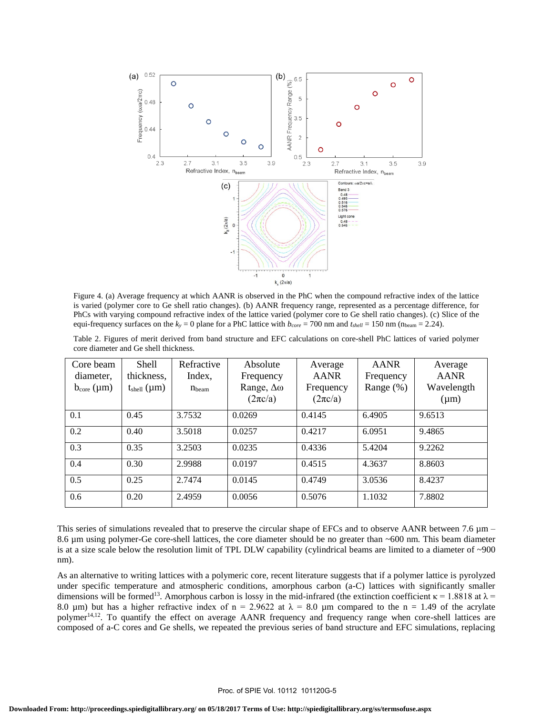

Figure 4. (a) Average frequency at which AANR is observed in the PhC when the compound refractive index of the lattice is varied (polymer core to Ge shell ratio changes). (b) AANR frequency range, represented as a percentage difference, for PhCs with varying compound refractive index of the lattice varied (polymer core to Ge shell ratio changes). (c) Slice of the equi-frequency surfaces on the  $k_y = 0$  plane for a PhC lattice with  $b_{core} = 700$  nm and  $t_{shell} = 150$  nm (n<sub>beam</sub> = 2.24).

Table 2. Figures of merit derived from band structure and EFC calculations on core-shell PhC lattices of varied polymer core diameter and Ge shell thickness.

| Core beam<br>diameter,<br>$b_{\rm core}$ ( $\mu$ m) | <b>Shell</b><br>thickness,<br>$t_{shell}$ (µm) | Refractive<br>Index,<br>$n_{\text{beam}}$ | Absolute<br>Frequency<br>Range, $\Delta\omega$<br>$(2\pi c/a)$ | Average<br>AANR<br>Frequency<br>$(2\pi c/a)$ | <b>AANR</b><br>Frequency<br>Range $(\%)$ | Average<br><b>AANR</b><br>Wavelength<br>$(\mu m)$ |
|-----------------------------------------------------|------------------------------------------------|-------------------------------------------|----------------------------------------------------------------|----------------------------------------------|------------------------------------------|---------------------------------------------------|
| 0.1                                                 | 0.45                                           | 3.7532                                    | 0.0269                                                         | 0.4145                                       | 6.4905                                   | 9.6513                                            |
| 0.2                                                 | 0.40                                           | 3.5018                                    | 0.0257                                                         | 0.4217                                       | 6.0951                                   | 9.4865                                            |
| 0.3                                                 | 0.35                                           | 3.2503                                    | 0.0235                                                         | 0.4336                                       | 5.4204                                   | 9.2262                                            |
| 0.4                                                 | 0.30                                           | 2.9988                                    | 0.0197                                                         | 0.4515                                       | 4.3637                                   | 8.8603                                            |
| 0.5                                                 | 0.25                                           | 2.7474                                    | 0.0145                                                         | 0.4749                                       | 3.0536                                   | 8.4237                                            |
| 0.6                                                 | 0.20                                           | 2.4959                                    | 0.0056                                                         | 0.5076                                       | 1.1032                                   | 7.8802                                            |

This series of simulations revealed that to preserve the circular shape of EFCs and to observe AANR between 7.6  $\mu$ m – 8.6 µm using polymer-Ge core-shell lattices, the core diameter should be no greater than ~600 nm. This beam diameter is at a size scale below the resolution limit of TPL DLW capability (cylindrical beams are limited to a diameter of ~900 nm).

As an alternative to writing lattices with a polymeric core, recent literature suggests that if a polymer lattice is pyrolyzed under specific temperature and atmospheric conditions, amorphous carbon (a-C) lattices with significantly smaller dimensions will be formed<sup>13</sup>. Amorphous carbon is lossy in the mid-infrared (the extinction coefficient  $\kappa = 1.8818$  at  $\lambda =$ 8.0 µm) but has a higher refractive index of n = 2.9622 at  $\lambda$  = 8.0 µm compared to the n = 1.49 of the acrylate polymer<sup>14,12</sup>. To quantify the effect on average AANR frequency and frequency range when core-shell lattices are composed of a-C cores and Ge shells, we repeated the previous series of band structure and EFC simulations, replacing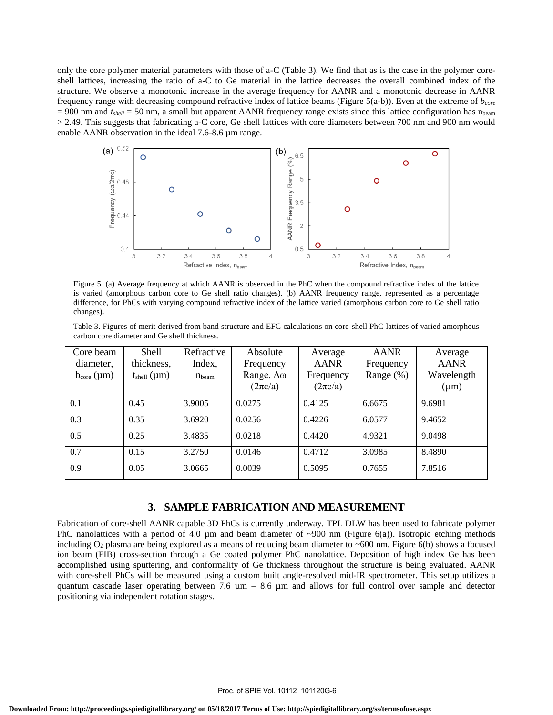only the core polymer material parameters with those of a-C (Table 3). We find that as is the case in the polymer coreshell lattices, increasing the ratio of a-C to Ge material in the lattice decreases the overall combined index of the structure. We observe a monotonic increase in the average frequency for AANR and a monotonic decrease in AANR frequency range with decreasing compound refractive index of lattice beams (Figure 5(a-b)). Even at the extreme of *bcore*  $= 900$  nm and  $t_{shell} = 50$  nm, a small but apparent AANR frequency range exists since this lattice configuration has n<sub>beam</sub> > 2.49. This suggests that fabricating a-C core, Ge shell lattices with core diameters between 700 nm and 900 nm would enable AANR observation in the ideal 7.6-8.6 µm range.



3.8 is varied (amorphous carbon core to Ge shell ratio changes). (b) AANR frequency range, represented as a percentage Figure 5. (a) Average frequency at which AANR is observed in the PhC when the compound refractive index of the lattice difference, for PhCs with varying compound refractive index of the lattice varied (amorphous carbon core to Ge shell ratio changes).

,\_,6.5 Table 3. Figures of merit derived from band structure and EFC calculations on core-shell PhC lattices of varied amorphous carbon core diameter and Ge shell thickness.

| Frequent<br>Frequent      |                                              | O                                                 | AANR Frequ                            | $\cup$ . $\cup$<br>$\circ$ |                                                   |                                                                                                                                                                                                                                                                                                                                                                            |
|---------------------------|----------------------------------------------|---------------------------------------------------|---------------------------------------|----------------------------|---------------------------------------------------|----------------------------------------------------------------------------------------------------------------------------------------------------------------------------------------------------------------------------------------------------------------------------------------------------------------------------------------------------------------------------|
|                           | 0.4                                          | $\circ$                                           | $\circ$                               | $\overline{2}$<br>O<br>0.5 |                                                   |                                                                                                                                                                                                                                                                                                                                                                            |
|                           | 3.2<br>3                                     | 3.6<br>3.4<br>Refractive Index, n <sub>beam</sub> | 3.8                                   | 3.2<br>3                   | 3.6<br>3.4<br>Refractive Index, n <sub>beam</sub> | 3.8                                                                                                                                                                                                                                                                                                                                                                        |
| changes).                 |                                              |                                                   |                                       |                            |                                                   | Figure 5. (a) Average frequency at which AANR is observed in the PhC when the compound refractive index of the lattice<br>is varied (amorphous carbon core to Ge shell ratio changes). (b) AANR frequency range, represented as a percentage<br>difference, for PhCs with varying compound refractive index of the lattice varied (amorphous carbon core to Ge shell ratio |
|                           | carbon core diameter and Ge shell thickness. |                                                   |                                       |                            |                                                   | Table 3. Figures of merit derived from band structure and EFC calculations on core-shell PhC lattices of varied amorphous                                                                                                                                                                                                                                                  |
| Core beam                 | <b>Shell</b>                                 | Refractive                                        | Absolute                              | Average                    | <b>AANR</b>                                       | Average                                                                                                                                                                                                                                                                                                                                                                    |
|                           |                                              | Index,                                            | Frequency                             | <b>AANR</b>                | Frequency                                         | <b>AANR</b>                                                                                                                                                                                                                                                                                                                                                                |
| diameter,                 | thickness,                                   |                                                   |                                       |                            |                                                   |                                                                                                                                                                                                                                                                                                                                                                            |
| $b_{\rm core}$ ( $\mu$ m) | $t_{shell}$ ( $\mu$ m)                       | $n_{\text{beam}}$                                 | Range, $\Delta\omega$<br>$(2\pi c/a)$ | Frequency<br>$(2\pi c/a)$  | Range (%)                                         | Wavelength<br>$(\mu m)$                                                                                                                                                                                                                                                                                                                                                    |
| 0.1                       | 0.45                                         | 3.9005                                            | 0.0275                                | 0.4125                     | 6.6675                                            | 9.6981                                                                                                                                                                                                                                                                                                                                                                     |
|                           | 0.35                                         | 3.6920                                            | 0.0256                                | 0.4226                     | 6.0577                                            | 9.4652                                                                                                                                                                                                                                                                                                                                                                     |
|                           | 0.25                                         | 3.4835                                            | 0.0218                                | 0.4420                     | 4.9321                                            | 9.0498                                                                                                                                                                                                                                                                                                                                                                     |
| 0.3<br>0.5<br>0.7         | 0.15                                         | 3.2750                                            | 0.0146                                | 0.4712                     | 3.0985                                            | 8.4890                                                                                                                                                                                                                                                                                                                                                                     |

### **3. SAMPLE FABRICATION AND MEASUREMENT**

Fabrication of core-shell AANR capable 3D PhCs is currently underway. TPL DLW has been used to fabricate polymer PhC nanolattices with a period of 4.0  $\mu$ m and beam diameter of ~900 nm (Figure 6(a)). Isotropic etching methods including  $O_2$  plasma are being explored as a means of reducing beam diameter to ~600 nm. Figure 6(b) shows a focused ion beam (FIB) cross-section through a Ge coated polymer PhC nanolattice. Deposition of high index Ge has been accomplished using sputtering, and conformality of Ge thickness throughout the structure is being evaluated. AANR with core-shell PhCs will be measured using a custom built angle-resolved mid-IR spectrometer. This setup utilizes a quantum cascade laser operating between 7.6  $\mu$ m – 8.6  $\mu$ m and allows for full control over sample and detector positioning via independent rotation stages.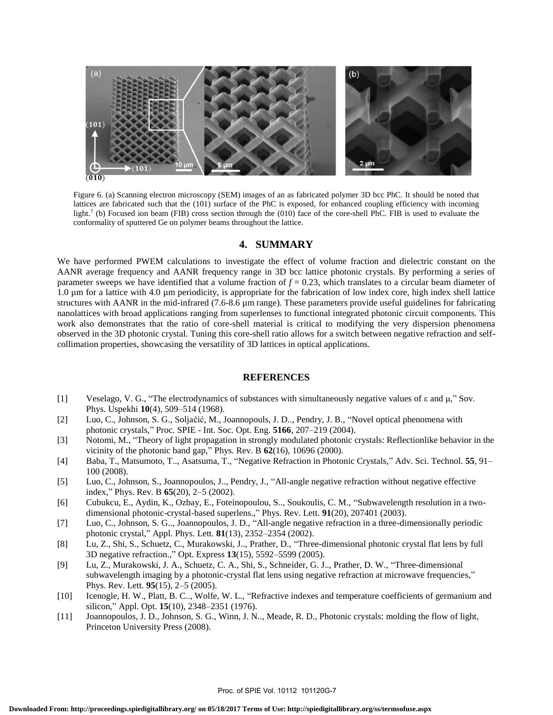

Figure 6. (a) Scanning electron microscopy (SEM) images of an as fabricated polymer 3D bcc PhC. It should be noted that lattices are fabricated such that the (101) surface of the PhC is exposed, for enhanced coupling efficiency with incoming light.<sup>7</sup> (b) Focused ion beam (FIB) cross section through the (010) face of the core-shell PhC. FIB is used to evaluate the conformality of sputtered Ge on polymer beams throughout the lattice.

#### **4. SUMMARY**

We have performed PWEM calculations to investigate the effect of volume fraction and dielectric constant on the AANR average frequency and AANR frequency range in 3D bcc lattice photonic crystals. By performing a series of parameter sweeps we have identified that a volume fraction of *f* = 0.23, which translates to a circular beam diameter of 1.0 µm for a lattice with 4.0 µm periodicity, is appropriate for the fabrication of low index core, high index shell lattice structures with AANR in the mid-infrared (7.6-8.6 µm range). These parameters provide useful guidelines for fabricating nanolattices with broad applications ranging from superlenses to functional integrated photonic circuit components. This work also demonstrates that the ratio of core-shell material is critical to modifying the very dispersion phenomena observed in the 3D photonic crystal. Tuning this core-shell ratio allows for a switch between negative refraction and selfcollimation properties, showcasing the versatility of 3D lattices in optical applications.

#### **REFERENCES**

- [1] Veselago, V. G., "The electrodynamics of substances with simultaneously negative values of ε and μ," Sov. Phys. Uspekhi **10**(4), 509–514 (1968).
- [2] Luo, C., Johnson, S. G., Soljačić, M., Joannopouls, J. D.., Pendry, J. B., "Novel optical phenomena with photonic crystals," Proc. SPIE - Int. Soc. Opt. Eng. **5166**, 207–219 (2004).
- [3] Notomi, M., "Theory of light propagation in strongly modulated photonic crystals: Reflectionlike behavior in the vicinity of the photonic band gap," Phys. Rev. B **62**(16), 10696 (2000).
- [4] Baba, T., Matsumoto, T.., Asatsuma, T., "Negative Refraction in Photonic Crystals," Adv. Sci. Technol. **55**, 91– 100 (2008).
- [5] Luo, C., Johnson, S., Joannopoulos, J.., Pendry, J., "All-angle negative refraction without negative effective index," Phys. Rev. B **65**(20), 2–5 (2002).
- [6] Cubukcu, E., Aydin, K., Ozbay, E., Foteinopoulou, S.., Soukoulis, C. M., "Subwavelength resolution in a twodimensional photonic-crystal-based superlens.," Phys. Rev. Lett. **91**(20), 207401 (2003).
- [7] Luo, C., Johnson, S. G.., Joannopoulos, J. D., "All-angle negative refraction in a three-dimensionally periodic photonic crystal," Appl. Phys. Lett. **81**(13), 2352–2354 (2002).
- [8] Lu, Z., Shi, S., Schuetz, C., Murakowski, J.., Prather, D., "Three-dimensional photonic crystal flat lens by full 3D negative refraction.," Opt. Express **13**(15), 5592–5599 (2005).
- [9] Lu, Z., Murakowski, J. A., Schuetz, C. A., Shi, S., Schneider, G. J.., Prather, D. W., "Three-dimensional subwavelength imaging by a photonic-crystal flat lens using negative refraction at microwave frequencies," Phys. Rev. Lett. **95**(15), 2–5 (2005).
- [10] Icenogle, H. W., Platt, B. C.., Wolfe, W. L., "Refractive indexes and temperature coefficients of germanium and silicon," Appl. Opt. **15**(10), 2348–2351 (1976).
- [11] Joannopoulos, J. D., Johnson, S. G., Winn, J. N.., Meade, R. D., Photonic crystals: molding the flow of light, Princeton University Press (2008).